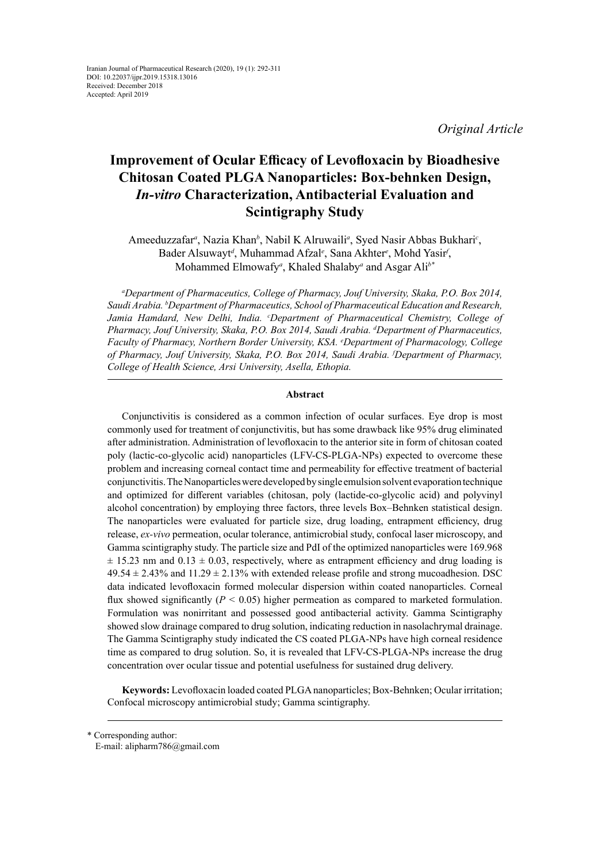*Original Article*

# **Improvement of Ocular Efficacy of Levofloxacin by Bioadhesive Chitosan Coated PLGA Nanoparticles: Box-behnken Design,**  *In-vitro* **Characterization, Antibacterial Evaluation and Scintigraphy Study**

Ameeduzzafar<sup>a</sup>, Nazia Khan<sup>b</sup>, Nabil K Alruwaili<sup>a</sup>, Syed Nasir Abbas Bukhari<sup>c</sup>, Bader Alsuwayt*<sup>d</sup>* , Muhammad Afzal*<sup>e</sup>* , Sana Akhter*<sup>e</sup>* , Mohd Yasir*<sup>f</sup>* , Mohammed Elmowafy*<sup>a</sup>* , Khaled Shalaby*<sup>a</sup>* and Asgar Ali*b\**

*a Department of Pharmaceutics, College of Pharmacy, Jouf University, Skaka, P.O. Box 2014, Saudi Arabia. b Department of Pharmaceutics, School of Pharmaceutical Education and Research, Jamia Hamdard, New Delhi, India. c Department of Pharmaceutical Chemistry, College of Pharmacy, Jouf University, Skaka, P.O. Box 2014, Saudi Arabia. d Department of Pharmaceutics, Faculty of Pharmacy, Northern Border University, KSA. e Department of Pharmacology, College of Pharmacy, Jouf University, Skaka, P.O. Box 2014, Saudi Arabia. f Department of Pharmacy, College of Health Science, Arsi University, Asella, Ethopia.*

### **Abstract**

Conjunctivitis is considered as a common infection of ocular surfaces. Eye drop is most commonly used for treatment of conjunctivitis, but has some drawback like 95% drug eliminated after administration. Administration of levofloxacin to the anterior site in form of chitosan coated poly (lactic-co-glycolic acid) nanoparticles (LFV-CS-PLGA-NPs) expected to overcome these problem and increasing corneal contact time and permeability for effective treatment of bacterial conjunctivitis. TheNanoparticles were developed by single emulsion solvent evaporation technique and optimized for different variables (chitosan, poly (lactide-co-glycolic acid) and polyvinyl alcohol concentration) by employing three factors, three levels Box–Behnken statistical design. The nanoparticles were evaluated for particle size, drug loading, entrapment efficiency, drug release, *ex-vivo* permeation, ocular tolerance, antimicrobial study, confocal laser microscopy, and Gamma scintigraphy study. The particle size and PdI of the optimized nanoparticles were 169.968  $\pm$  15.23 nm and 0.13  $\pm$  0.03, respectively, where as entrapment efficiency and drug loading is  $49.54 \pm 2.43\%$  and  $11.29 \pm 2.13\%$  with extended release profile and strong mucoadhesion. DSC data indicated levofloxacin formed molecular dispersion within coated nanoparticles. Corneal flux showed significantly  $(P < 0.05)$  higher permeation as compared to marketed formulation. Formulation was nonirritant and possessed good antibacterial activity. Gamma Scintigraphy showed slow drainage compared to drug solution, indicating reduction in nasolachrymal drainage. The Gamma Scintigraphy study indicated the CS coated PLGA-NPs have high corneal residence time as compared to drug solution. So, it is revealed that LFV-CS-PLGA-NPs increase the drug concentration over ocular tissue and potential usefulness for sustained drug delivery.

**Keywords:** Levofloxacin loaded coated PLGA nanoparticles; Box-Behnken; Ocular irritation; Confocal microscopy antimicrobial study; Gamma scintigraphy.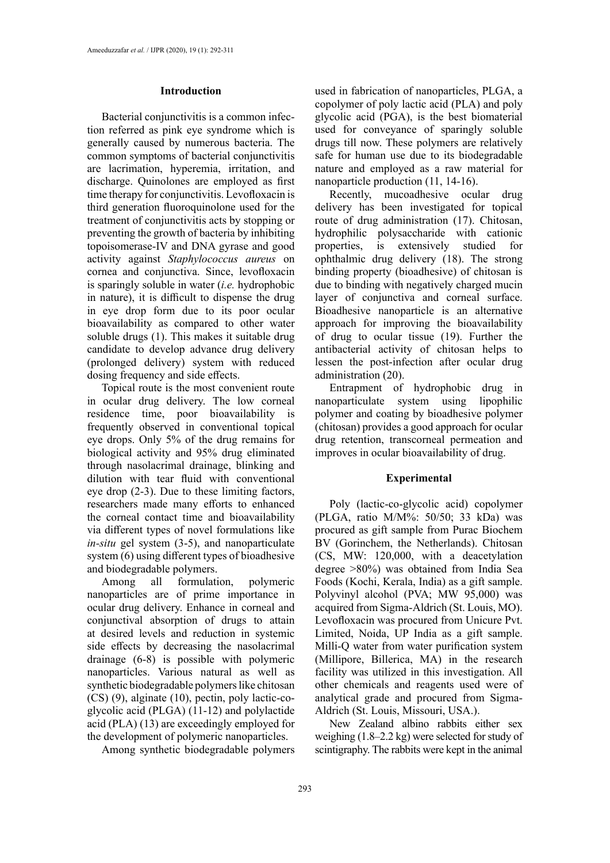## **Introduction**

Bacterial conjunctivitis is a common infection referred as pink eye syndrome which is generally caused by numerous bacteria. The common symptoms of bacterial conjunctivitis are lacrimation, hyperemia, irritation, and discharge. Quinolones are employed as first time therapy for conjunctivitis. [Levofloxacin](https://www.webmd.com/drugs/mono-8235-LEVOFLOXACIN+-+ORAL.aspx?drugid=14495&drugname=Levofloxacin+Oral) is third generation fluoroquinolone used for the treatment of conjunctivitis acts by stopping or preventing the growth of bacteria by inhibiting topoisomerase-IV and DNA gyrase and good activity against *Staphylococcus aureus* on cornea and conjunctiva. Since, levofloxacin is sparingly soluble in water (*i.e.* hydrophobic in nature), it is difficult to dispense the drug in eye drop form due to its poor ocular bioavailability as compared to other water soluble drugs (1). This makes it suitable drug candidate to develop advance drug delivery (prolonged delivery) system with reduced dosing frequency and side effects.

Topical route is the most convenient route in ocular drug delivery. The low corneal residence time, poor bioavailability is frequently observed in conventional topical eye drops. Only 5% of the drug remains for biological activity and 95% drug eliminated through nasolacrimal drainage, blinking and dilution with tear fluid with conventional eye drop (2-3). Due to these limiting factors, researchers made many efforts to enhanced the corneal contact time and bioavailability via different types of novel formulations like *in-situ* gel system (3-5), and nanoparticulate system (6) using different types of bioadhesive and biodegradable polymers.

Among all formulation, polymeric nanoparticles are of prime importance in ocular drug delivery. Enhance in corneal and conjunctival absorption of drugs to attain at desired levels and reduction in systemic side effects by decreasing the nasolacrimal drainage (6-8) is possible with polymeric nanoparticles. Various natural as well as synthetic biodegradable polymers like chitosan (CS) (9), alginate (10), pectin, poly lactic-coglycolic acid (PLGA) (11-12) and polylactide acid (PLA) (13) are exceedingly employed for the development of polymeric nanoparticles.

Among synthetic biodegradable polymers

used in fabrication of nanoparticles, PLGA, a copolymer of poly lactic acid (PLA) and poly glycolic acid (PGA), is the best biomaterial used for conveyance of sparingly soluble drugs till now. These polymers are relatively safe for human use due to its biodegradable nature and employed as a raw material for nanoparticle production (11, 14-16).

Recently, mucoadhesive ocular drug delivery has been investigated for topical route of drug administration (17). Chitosan, hydrophilic polysaccharide with cationic properties, is extensively studied for ophthalmic drug delivery (18). The strong binding property (bioadhesive) of chitosan is due to binding with negatively charged mucin layer of conjunctiva and corneal surface. Bioadhesive nanoparticle is an alternative approach for improving the bioavailability of drug to ocular tissue (19). Further the antibacterial activity of chitosan helps to lessen the post-infection after ocular drug administration (20).

Entrapment of hydrophobic drug in nanoparticulate system using lipophilic polymer and coating by bioadhesive polymer (chitosan) provides a good approach for ocular drug retention, transcorneal permeation and improves in ocular bioavailability of drug.

## **Experimental**

Poly (lactic-co-glycolic acid) copolymer (PLGA, ratio M/M%: 50/50; 33 kDa) was procured as gift sample from Purac Biochem BV (Gorinchem, the Netherlands). Chitosan (CS, MW: 120,000, with a deacetylation degree >80%) was obtained from India Sea Foods (Kochi, Kerala, India) as a gift sample. Polyvinyl alcohol (PVA; MW 95,000) was acquired from Sigma-Aldrich (St. Louis, MO). Levofloxacin was procured from Unicure Pvt. Limited, Noida, UP India as a gift sample. Milli-Q water from water purification system (Millipore, Billerica, MA) in the research facility was utilized in this investigation. All other chemicals and reagents used were of analytical grade and procured from Sigma-Aldrich (St. Louis, Missouri, USA.).

New Zealand albino rabbits either sex weighing (1.8–2.2 kg) were selected for study of scintigraphy. The rabbits were kept in the animal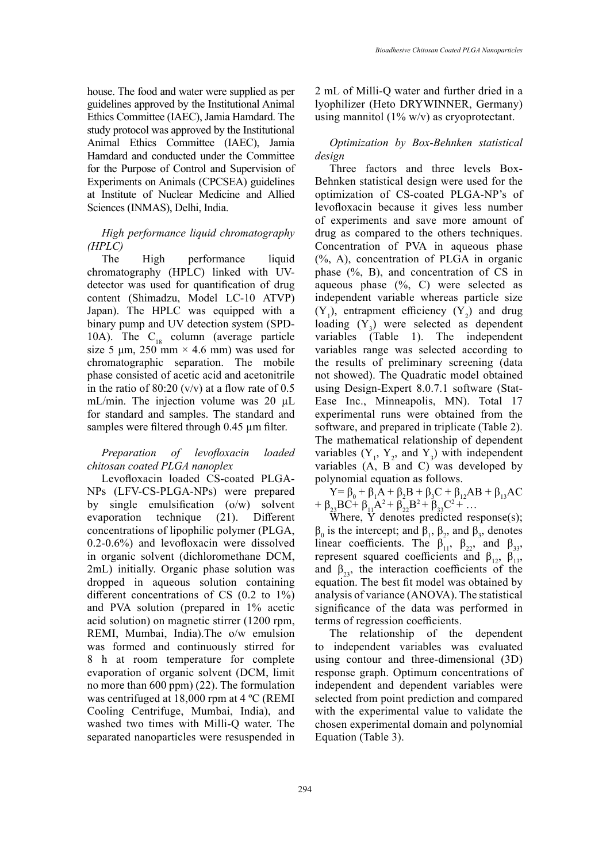house. The food and water were supplied as per guidelines approved by the Institutional Animal Ethics Committee (IAEC), Jamia Hamdard. The study protocol was approved by the Institutional Animal Ethics Committee (IAEC), Jamia Hamdard and conducted under the Committee for the Purpose of Control and Supervision of Experiments on Animals (CPCSEA) guidelines at Institute of Nuclear Medicine and Allied Sciences (INMAS), Delhi, India.

# *High performance liquid chromatography (HPLC)*

The High performance liquid chromatography (HPLC) linked with UVdetector was used for quantification of drug content (Shimadzu, Model LC-10 ATVP) Japan). The HPLC was equipped with a binary pump and UV detection system (SPD-10A). The  $C_{18}$  column (average particle size 5  $\mu$ m, 250 mm × 4.6 mm) was used for chromatographic separation. The mobile phase consisted of acetic acid and acetonitrile in the ratio of 80:20 (v/v) at a flow rate of 0.5 mL/min. The injection volume was 20  $\mu$ L for standard and samples. The standard and samples were filtered through 0.45 µm filter.

# *Preparation of levofloxacin loaded chitosan coated PLGA nanoplex*

Levofloxacin loaded CS-coated PLGA-NPs (LFV-CS-PLGA-NPs) were prepared by single emulsification (o/w) solvent evaporation technique (21). Different concentrations of lipophilic polymer (PLGA, 0.2-0.6%) and levofloxacin were dissolved in organic solvent (dichloromethane DCM, 2mL) initially. Organic phase solution was dropped in aqueous solution containing different concentrations of CS (0.2 to 1%) and PVA solution (prepared in 1% acetic acid solution) on magnetic stirrer (1200 rpm, REMI, Mumbai, India).The o/w emulsion was formed and continuously stirred for 8 h at room temperature for complete evaporation of organic solvent (DCM, limit no more than 600 ppm) (22). The formulation was centrifuged at 18,000 rpm at 4 ºC (REMI Cooling Centrifuge, Mumbai, India), and washed two times with Milli-Q water. The separated nanoparticles were resuspended in

2 mL of Milli-Q water and further dried in a lyophilizer (Heto DRYWINNER, Germany) using mannitol  $(1\% \text{ w/v})$  as cryoprotectant.

# *Optimization by Box-Behnken statistical design*

Three factors and three levels Box-Behnken statistical design were used for the optimization of CS-coated PLGA-NP's of levofloxacin because it gives less number of experiments and save more amount of drug as compared to the others techniques. Concentration of PVA in aqueous phase (%, A), concentration of PLGA in organic phase (%, B), and concentration of CS in aqueous phase (%, C) were selected as independent variable whereas particle size  $(Y_1)$ , entrapment efficiency  $(Y_2)$  and drug loading  $(Y_3)$  were selected as dependent variables (Table 1). The independent variables range was selected according to the results of preliminary screening (data not showed). The Quadratic model obtained using Design-Expert 8.0.7.1 software (Stat-Ease Inc., Minneapolis, MN). Total 17 experimental runs were obtained from the software, and prepared in triplicate (Table 2). The mathematical relationship of dependent variables  $(Y_1, Y_2, \text{ and } Y_3)$  with independent variables (A, B and C) was developed by polynomial equation as follows.

Y= β<sub>0</sub> + β<sub>1</sub>A + β<sub>2</sub>B + β<sub>3</sub>C + β<sub>12</sub>AB + β<sub>13</sub>AC +  $\beta_{23}BC^+$   $\beta_{11}A^2 + \beta_{22}B^2 + \beta_{33}C^2 + \dots$ 

Where,  $\hat{Y}$  denotes predicted response(s);  $\beta_0$  is the intercept; and  $\beta_1$ ,  $\beta_2$ , and  $\beta_3$ , denotes linear coefficients. The  $\beta_{11}$ ,  $\beta_{22}$ , and  $\beta_{33}$ , represent squared coefficients and  $\beta_{12}$ ,  $\beta_{13}$ , and  $\beta_{23}$ , the interaction coefficients of the equation. The best fit model was obtained by analysis of variance (ANOVA). The statistical significance of the data was performed in terms of regression coefficients.

The relationship of the dependent to independent variables was evaluated using contour and three-dimensional (3D) response graph. Optimum concentrations of independent and dependent variables were selected from point prediction and compared with the experimental value to validate the chosen experimental domain and polynomial Equation (Table 3).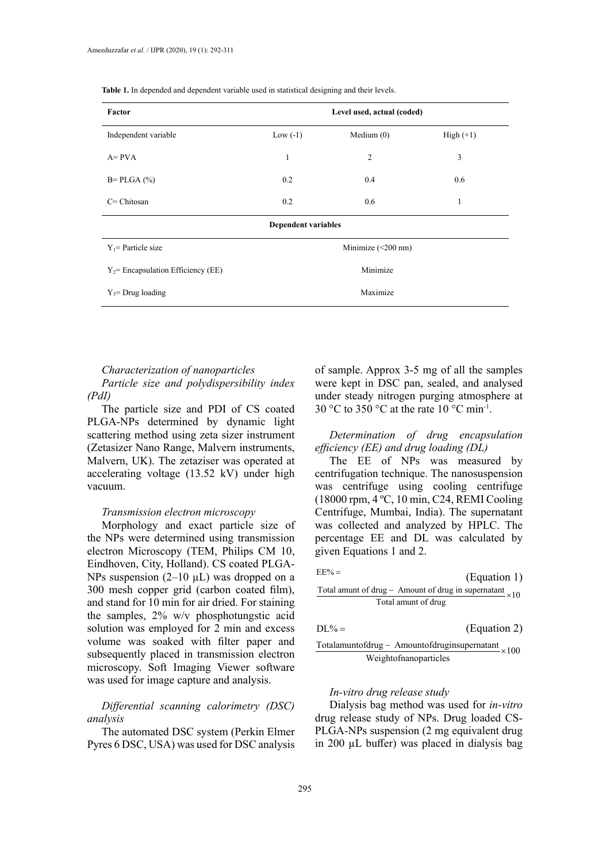| Factor                                | Level used, actual (coded) |                          |             |  |  |  |
|---------------------------------------|----------------------------|--------------------------|-------------|--|--|--|
| Independent variable                  | Low $(-1)$                 | Medium $(0)$             | $High (+1)$ |  |  |  |
| $A = PVA$                             | 1                          | $\overline{2}$           | 3           |  |  |  |
| $B = PLGA$ (%)                        | 0.2                        | 0.4                      | 0.6         |  |  |  |
| $C = Chitosan$                        | 0.2                        | 0.6                      | 1           |  |  |  |
|                                       | <b>Dependent variables</b> |                          |             |  |  |  |
| $Y_1$ Particle size                   |                            | Minimize $(\leq 200$ nm) |             |  |  |  |
| $Y_2$ = Encapsulation Efficiency (EE) | Minimize                   |                          |             |  |  |  |
| $Y_3$ = Drug loading                  | Maximize                   |                          |             |  |  |  |

**Table 1.** In depended and dependent variable used in statistical designing and their levels. **Table 1.** In depended and dependent variable used in statistical designing and their levels.

#### *Characterization of nanoparticles*

*Particle size and polydispersibility index (PdI)*

The particle size and PDI of CS coated PLGA-NPs determined by dynamic light scattering method using zeta sizer instrument (Zetasizer Nano Range, Malvern instruments, Malvern, UK). The zetaziser was operated at accelerating voltage (13.52 kV) under high vacuum.

## *Transmission electron microscopy*

Morphology and exact particle size of the NPs were determined using transmission electron Microscopy (TEM, Philips CM 10, Eindhoven, City, Holland). CS coated PLGA-NPs suspension  $(2-10 \mu L)$  was dropped on a 300 mesh copper grid (carbon coated film), and stand for 10 min for air dried. For staining the samples, 2% w/v phosphotungstic acid solution was employed for 2 min and excess volume was soaked with filter paper and subsequently placed in transmission electron microscopy. Soft Imaging Viewer software was used for image capture and analysis.

*Differential scanning calorimetry (DSC) analysis* 

The automated DSC system (Perkin Elmer Pyres 6 DSC, USA) was used for DSC analysis

of sample. Approx 3-5 mg of all the samples were kept in DSC pan, sealed, and analysed under steady nitrogen purging atmosphere at 30 °C to 350 °C at the rate 10 °C min<sup>-1</sup>.

*Determination of drug encapsulation efficiency (EE) and drug loading (DL)*

The EE of NPs was measured by centrifugation technique. The nanosuspension was centrifuge using cooling centrifuge (18000 rpm, 4 ºC, 10 min, C24, REMI Cooling Centrifuge, Mumbai, India). The supernatant was collected and analyzed by HPLC. The percentage EE and DL was calculated by given Equations 1 and 2.

| $EE% =$                                                         | (Equation 1) |
|-----------------------------------------------------------------|--------------|
| Total amunt of drug – Amount of drug in supernatant $\times 10$ |              |
| Total amunt of drug                                             |              |
| $DI\% = \cdot$                                                  | (Equation 2) |

$$
\frac{\text{Totalamuntof drug} - \text{Amountofdruginsupernatant}}{\text{Weightofnanoparticles}} \times 100
$$

#### *In-vitro drug release study*

Dialysis bag method was used for *in-vitro*  drug release study of NPs. Drug loaded CS-PLGA-NPs suspension (2 mg equivalent drug in 200 µL buffer) was placed in dialysis bag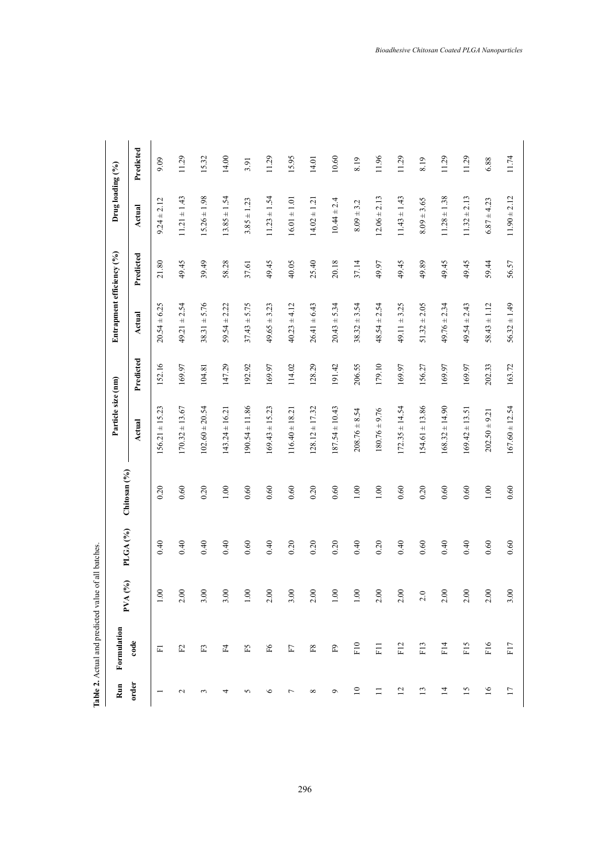|                 | Table 2. Actual and predicted value of all batches. |             |                     |              |                    |           |                           |           |                  |           |
|-----------------|-----------------------------------------------------|-------------|---------------------|--------------|--------------------|-----------|---------------------------|-----------|------------------|-----------|
| Run             | Formulation                                         | (26)<br>PVA | PLGA <sub>(%)</sub> | Chitosan (%) | Particle size (nm) |           | Entrapment efficiency (%) |           | Drug loading (%) |           |
| order           | code                                                |             |                     |              | <b>Actual</b>      | Predicted | Actual                    | Predicted | Actual           | Predicted |
|                 | 匸                                                   | 1.00        | 0.40                | 0.20         | $156.21 \pm 15.23$ | 152.16    | $20.54 \pm 6.25$          | 21.80     | $9.24 \pm 2.12$  | 9.09      |
| $\sim$          | $\mathbb{E}$                                        | 2.00        | 0.40                | 0.60         | $170.32 \pm 13.67$ | 169.97    | $49.21 \pm 2.54$          | 49.45     | $11.21 \pm 1.43$ | 11.29     |
| $\sim$          | E3                                                  | 3.00        | 0.40                | 0.20         | $102.60 \pm 20.54$ | 104.81    | $38.31 \pm 5.76$          | 39.49     | $15.26 \pm 1.98$ | 15.32     |
| 4               | Ξ.                                                  | 3.00        | 0.40                | $1.00\,$     | $143.24 \pm 16.21$ | 147.29    | $59.54 \pm 2.22$          | 58.28     | $13.85 \pm 1.54$ | 14.00     |
| 5               | F5                                                  | $1.00\,$    | 0.60                | 0.60         | $190.54 \pm 11.86$ | 192.92    | $37.43 \pm 5.75$          | 37.61     | $3.85 \pm 1.23$  | 3.91      |
| $\circ$         | $\mathbb{F}^2$                                      | 2.00        | 0.40                | 0.60         | $169.43 \pm 15.23$ | 169.97    | $49.65 \pm 3.23$          | 49.45     | $11.23 \pm 1.54$ | 11.29     |
| $\overline{ }$  | $\rm F7$                                            | 3.00        | 0.20                | 0.60         | $116.40 \pm 18.21$ | 114.02    | $40.23 \pm 4.12$          | 40.05     | $16.01 \pm 1.01$ | 15.95     |
| ${}^{\circ}$    | $_{\rm F8}$                                         | 2.00        | 0.20                | 0.20         | $128.12 \pm 17.32$ | 128.29    | $26.41 \pm 6.43$          | 25.40     | $14.02 \pm 1.21$ | 14.01     |
| $\circ$         | $\mathbb{E}^9$                                      | $1.00\,$    | 0.20                | 0.60         | $187.54 \pm 10.43$ | 191.42    | $20.43 \pm 5.34$          | 20.18     | $10.44 \pm 2.4$  | 10.60     |
| $\overline{10}$ | F10                                                 | $1.00\,$    | 0.40                | $1.00\,$     | $208.76 \pm 8.54$  | 206.55    | $38.32 \pm 3.54$          | 37.14     | $8.09 \pm 3.2$   | 8.19      |
| ።               | F11                                                 | 2.00        | 0.20                | $1.00\,$     | $180.76 \pm 9.76$  | 179.10    | $48.54 \pm 2.54$          | 49.97     | $12.06 \pm 2.13$ | 11.96     |
| $\overline{c}$  | F12                                                 | 2.00        | 0.40                | 0.60         | $172.35 \pm 14.54$ | 169.97    | $49.11 \pm 3.25$          | 49.45     | $11.43 \pm 1.43$ | 11.29     |
| $\overline{13}$ | F13                                                 | 2.0         | 0.60                | 0.20         | $154.61 \pm 13.86$ | 156.27    | $51.32 \pm 2.05$          | 49.89     | $8.09 \pm 3.65$  | 8.19      |
| $\overline{1}$  | F14                                                 | 2.00        | 0.40                | 0.60         | $168.32 \pm 14.90$ | 169.97    | $49.76 \pm 2.34$          | 49.45     | $11.28 \pm 1.38$ | 11.29     |
| 15              | F <sub>15</sub>                                     | 2.00        | 0.40                | 0.60         | $169.42 \pm 13.51$ | 169.97    | $49.54 \pm 2.43$          | 49.45     | $11.32 \pm 2.13$ | 11.29     |
| 16              | F <sub>16</sub>                                     | 2.00        | 0.60                | $1.00\,$     | $202.50 \pm 9.21$  | 202.33    | $58.43 \pm 1.12$          | 59.44     | $6.87 \pm 4.23$  | 6.88      |
| $\overline{17}$ | F17                                                 | 3.00        | 0.60                | 0.60         | $167.60 \pm 12.54$ | 163.72    | $56.32 \pm 1.49$          | 56.57     | $11.90 \pm 2.12$ | 11.74     |

**Table 2.** Actual and predicted value of all batches.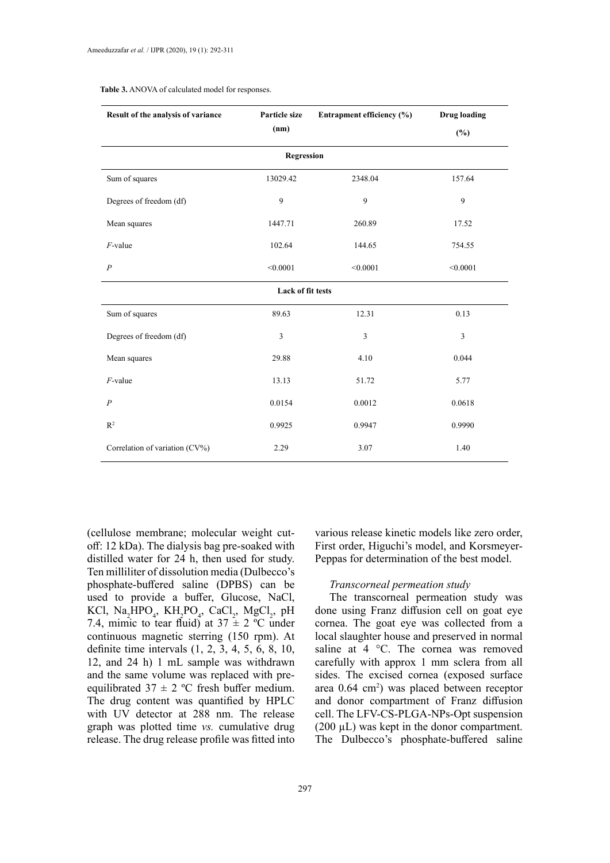| Result of the analysis of variance | Particle size     | Entrapment efficiency (%) | <b>Drug loading</b> |
|------------------------------------|-------------------|---------------------------|---------------------|
|                                    | (nm)              |                           | $(\%)$              |
|                                    | Regression        |                           |                     |
| Sum of squares                     | 13029.42          | 2348.04                   | 157.64              |
| Degrees of freedom (df)            | 9                 | 9                         | 9                   |
| Mean squares                       | 1447.71           | 260.89                    | 17.52               |
| $F$ -value                         | 102.64            | 144.65                    | 754.55              |
| $\boldsymbol{P}$                   | < 0.0001          | < 0.0001                  | < 0.0001            |
|                                    | Lack of fit tests |                           |                     |
| Sum of squares                     | 89.63             | 12.31                     | 0.13                |
| Degrees of freedom (df)            | $\overline{3}$    | 3                         | $\overline{3}$      |
| Mean squares                       | 29.88             | 4.10                      | 0.044               |
| $F$ -value                         | 13.13             | 51.72                     | 5.77                |
| $\overline{P}$                     | 0.0154            | 0.0012                    | 0.0618              |
| $R^2$                              | 0.9925            | 0.9947                    | 0.9990              |
| Correlation of variation (CV%)     | 2.29              | 3.07                      | 1.40                |

#### **Table 3.** ANOVA of calculated model for responses.

(cellulose membrane; molecular weight cutoff: 12 kDa). The dialysis bag pre-soaked with distilled water for 24 h, then used for study. Ten milliliter of dissolution media (Dulbecco's phosphate-buffered saline (DPBS) can be used to provide a buffer, Glucose, NaCl, KCl,  $\text{Na}_{2}\text{HPO}_{4}$ ,  $\text{KH}_{2}\text{PO}_{4}$ ,  $\text{CaCl}_{2}$ ,  $\text{MgCl}_{2}$ , pH 7.4, mimic to tear fluid) at  $37 \pm 2$  °C under continuous magnetic sterring (150 rpm). At definite time intervals (1, 2, 3, 4, 5, 6, 8, 10, 12, and 24 h) 1 mL sample was withdrawn and the same volume was replaced with preequilibrated  $37 \pm 2$  °C fresh buffer medium. The drug content was quantified by HPLC with UV detector at 288 nm. The release graph was plotted time *vs.* cumulative drug release. The drug release profile was fitted into

various release kinetic models like zero order, First order, Higuchi's model, and Korsmeyer-Peppas for determination of the best model.

#### *Transcorneal permeation study*

The transcorneal permeation study was done using Franz diffusion cell on goat eye cornea. The goat eye was collected from a local slaughter house and preserved in normal saline at 4 °C. The cornea was removed carefully with approx 1 mm sclera from all sides. The excised cornea (exposed surface area 0.64 cm2 ) was placed between receptor and donor compartment of Franz diffusion cell. The LFV-CS-PLGA-NPs-Opt suspension  $(200 \mu L)$  was kept in the donor compartment. The Dulbecco's phosphate-buffered saline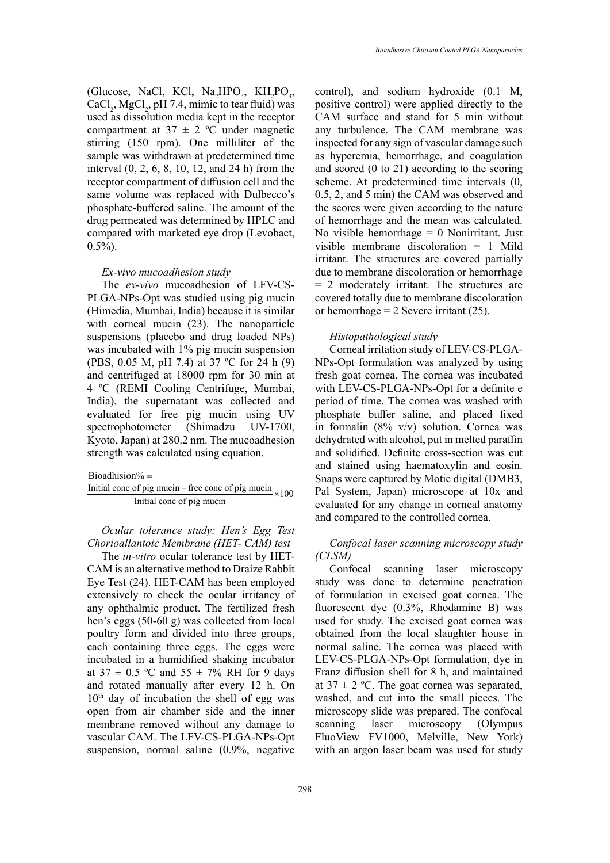(Glucose, NaCl, KCl, Na<sub>2</sub>HPO<sub>4</sub>, KH<sub>2</sub>PO<sub>4</sub>,  $CaCl<sub>2</sub>$ , MgCl<sub>2</sub>, pH 7.4, mimic to tear fluid) was used as dissolution media kept in the receptor compartment at  $37 \pm 2$  °C under magnetic stirring (150 rpm). One milliliter of the sample was withdrawn at predetermined time interval (0, 2, 6, 8, 10, 12, and 24 h) from the receptor compartment of diffusion cell and the same volume was replaced with Dulbecco's phosphate-buffered saline. The amount of the drug permeated was determined by HPLC and compared with marketed eye drop (Levobact,  $0.5\%$ ).

## *Ex-vivo mucoadhesion study*

The *ex-vivo* mucoadhesion of LFV-CS-PLGA-NPs-Opt was studied using pig mucin (Himedia, Mumbai, India) because it is similar with corneal mucin (23). The nanoparticle suspensions (placebo and drug loaded NPs) was incubated with 1% pig mucin suspension (PBS, 0.05 M, pH 7.4) at 37 ºC for 24 h (9) and centrifuged at 18000 rpm for 30 min at 4 ºC (REMI Cooling Centrifuge, Mumbai, India), the supernatant was collected and evaluated for free pig mucin using UV spectrophotometer (Shimadzu UV-1700, Kyoto, Japan) at 280.2 nm. The mucoadhesion strength was calculated using equation.

Initial conc of pig mucin – free conc of pig mucin  $\times 100$ Initial conc of pig mucin

> *Ocular tolerance study: Hen's Egg Test Chorioallantoic Membrane (HET- CAM) test*

> The *in-vitro* ocular tolerance test by HET-CAM is an alternative method to Draize Rabbit Eye Test (24). HET-CAM has been employed extensively to check the ocular irritancy of any ophthalmic product. The fertilized fresh hen's eggs (50-60 g) was collected from local poultry form and divided into three groups, each containing three eggs. The eggs were incubated in a humidified shaking incubator at  $37 \pm 0.5$  °C and  $55 \pm 7\%$  RH for 9 days and rotated manually after every 12 h. On  $10<sup>th</sup>$  day of incubation the shell of egg was open from air chamber side and the inner membrane removed without any damage to vascular CAM. The LFV-CS-PLGA-NPs-Opt suspension, normal saline (0.9%, negative

control), and sodium hydroxide (0.1 M, positive control) were applied directly to the CAM surface and stand for 5 min without any turbulence. The CAM membrane was inspected for any sign of vascular damage such as hyperemia, hemorrhage, and coagulation and scored (0 to 21) according to the scoring scheme. At predetermined time intervals (0, 0.5, 2, and 5 min) the CAM was observed and the scores were given according to the nature of hemorrhage and the mean was calculated. No visible hemorrhage  $= 0$  Nonirritant. Just visible membrane discoloration = 1 Mild irritant. The structures are covered partially due to membrane discoloration or hemorrhage = 2 moderately irritant. The structures are covered totally due to membrane discoloration or hemorrhage  $= 2$  Severe irritant (25).

# *Histopathological study*

Bioadhision% = and stamed<br>Initial conc of pig mucin – free conc of pig mucin Bioadhision Were c = and stain<br>− Snaps we Corneal irritation study of LEV-CS-PLGA-NPs-Opt formulation was analyzed by using fresh goat cornea. The cornea was incubated with LEV-CS-PLGA-NPs-Opt for a definite e period of time. The cornea was washed with phosphate buffer saline, and placed fixed in formalin (8% v/v) solution. Cornea was dehydrated with alcohol, put in melted paraffin and solidified. Definite cross-section was cut and stained using haematoxylin and eosin. Snaps were captured by Motic digital (DMB3, Pal System, Japan) microscope at 10x and evaluated for any change in corneal anatomy and compared to the controlled cornea.

# *Confocal laser scanning microscopy study (CLSM)*

Confocal scanning laser microscopy study was done to determine penetration of formulation in excised goat cornea. The fluorescent dye (0.3%, Rhodamine B) was used for study. The excised goat cornea was obtained from the local slaughter house in normal saline. The cornea was placed with LEV-CS-PLGA-NPs-Opt formulation, dye in Franz diffusion shell for 8 h, and maintained at  $37 \pm 2$  °C. The goat cornea was separated, washed, and cut into the small pieces. The microscopy slide was prepared. The confocal scanning laser microscopy (Olympus FluoView FV1000, Melville, New York) with an argon laser beam was used for study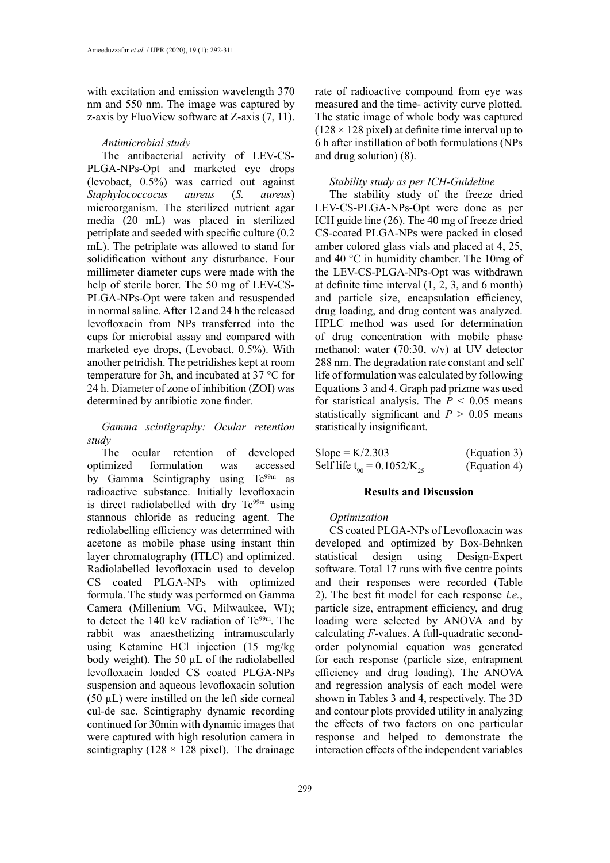with excitation and emission wavelength 370 nm and 550 nm. The image was captured by z-axis by FluoView software at Z-axis (7, 11).

#### *Antimicrobial study*

The antibacterial activity of LEV-CS-PLGA-NPs-Opt and marketed eye drops (levobact, 0.5%) was carried out against *Staphylococcocus aureus* (*S. aureus*) microorganism. The sterilized nutrient agar media (20 mL) was placed in sterilized petriplate and seeded with specific culture (0.2 mL). The petriplate was allowed to stand for solidification without any disturbance. Four millimeter diameter cups were made with the help of sterile borer. The 50 mg of LEV-CS-PLGA-NPs-Opt were taken and resuspended in normal saline. After 12 and 24 h the released levofloxacin from NPs transferred into the cups for microbial assay and compared with marketed eye drops, (Levobact, 0.5%). With another petridish. The petridishes kept at room temperature for 3h, and incubated at 37 °C for 24 h. Diameter of zone of inhibition (ZOI) was determined by antibiotic zone finder.

# *Gamma scintigraphy: Ocular retention study*

The ocular retention of developed optimized formulation was accessed by Gamma Scintigraphy using Tc<sup>99m</sup> as radioactive substance. Initially levofloxacin is direct radiolabelled with dry  $Tc^{99m}$  using stannous chloride as reducing agent. The rediolabelling efficiency was determined with acetone as mobile phase using instant thin layer chromatography (ITLC) and optimized. Radiolabelled levofloxacin used to develop CS coated PLGA-NPs with optimized formula. The study was performed on Gamma Camera (Millenium VG, Milwaukee, WI); to detect the 140 keV radiation of Tc<sup>99m</sup>. The rabbit was anaesthetizing intramuscularly using Ketamine HCl injection (15 mg/kg body weight). The 50 µL of the radiolabelled levofloxacin loaded CS coated PLGA-NPs suspension and aqueous levofloxacin solution  $(50 \mu L)$  were instilled on the left side corneal cul-de sac. Scintigraphy dynamic recording continued for 30min with dynamic images that were captured with high resolution camera in scintigraphy ( $128 \times 128$  pixel). The drainage

rate of radioactive compound from eye was measured and the time- activity curve plotted. The static image of whole body was captured  $(128 \times 128 \text{ pixel})$  at definite time interval up to 6 h after instillation of both formulations (NPs and drug solution) (8).

## *Stability study as per ICH-Guideline*

The stability study of the freeze dried LEV-CS-PLGA-NPs-Opt were done as per ICH guide line (26). The 40 mg of freeze dried CS-coated PLGA-NPs were packed in closed amber colored glass vials and placed at 4, 25, and 40 °C in humidity chamber. The 10mg of the LEV-CS-PLGA-NPs-Opt was withdrawn at definite time interval (1, 2, 3, and 6 month) and particle size, encapsulation efficiency, drug loading, and drug content was analyzed. HPLC method was used for determination of drug concentration with mobile phase methanol: water (70:30, v/v) at UV detector 288 nm. The degradation rate constant and self life of formulation was calculated by following Equations 3 and 4. Graph pad prizme was used for statistical analysis. The  $P < 0.05$  means statistically significant and  $P > 0.05$  means statistically insignificant.

| $Slope = K/2.303$                  | (Equation 3) |
|------------------------------------|--------------|
| Self life $t_{00} = 0.1052/K_{25}$ | (Equation 4) |

#### **Results and Discussion**

## *Optimization*

CS coated PLGA-NPs of Levofloxacin was developed and optimized by Box-Behnken statistical design using Design-Expert software. Total 17 runs with five centre points and their responses were recorded (Table 2). The best fit model for each response *i.e.*, particle size, entrapment efficiency, and drug loading were selected by ANOVA and by calculating *F*-values. A full-quadratic secondorder polynomial equation was generated for each response (particle size, entrapment efficiency and drug loading). The ANOVA and regression analysis of each model were shown in Tables 3 and 4, respectively. The 3D and contour plots provided utility in analyzing the effects of two factors on one particular response and helped to demonstrate the interaction effects of the independent variables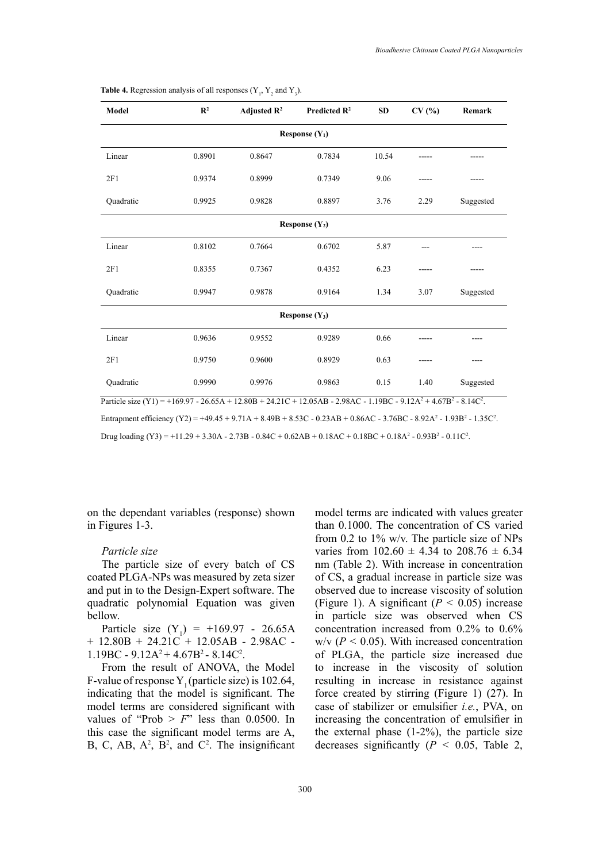| Model            | $\mathbb{R}^2$ | Adjusted $\mathbb{R}^2$ | Predicted $\mathbb{R}^2$ | <b>SD</b> | CV(%) | Remark    |
|------------------|----------------|-------------------------|--------------------------|-----------|-------|-----------|
| Response $(Y_1)$ |                |                         |                          |           |       |           |
| Linear           | 0.8901         | 0.8647                  | 0.7834                   | 10.54     | ----- |           |
| 2F1              | 0.9374         | 0.8999                  | 0.7349                   | 9.06      |       |           |
| Quadratic        | 0.9925         | 0.9828                  | 0.8897                   | 3.76      | 2.29  | Suggested |
|                  |                |                         | Response $(Y_2)$         |           |       |           |
| Linear           | 0.8102         | 0.7664                  | 0.6702                   | 5.87      |       |           |
| 2F1              | 0.8355         | 0.7367                  | 0.4352                   | 6.23      |       |           |
| Quadratic        | 0.9947         | 0.9878                  | 0.9164                   | 1.34      | 3.07  | Suggested |
| Response $(Y_3)$ |                |                         |                          |           |       |           |
| Linear           | 0.9636         | 0.9552                  | 0.9289                   | 0.66      |       |           |
| 2F1              | 0.9750         | 0.9600                  | 0.8929                   | 0.63      | ----- |           |
| Quadratic        | 0.9990         | 0.9976                  | 0.9863                   | 0.15      | 1.40  | Suggested |

**Table 4.** Regression analysis of all responses  $(Y_1, Y_2, Y_3)$ .

Particle size (Y1) = +169.97 - 26.65A + 12.80B + 24.21C + 12.05AB - 2.98AC - 1.19BC - 9.12A<sup>2</sup> + 4.67B<sup>2</sup> - 8.14C<sup>2</sup>.

Entrapment efficiency (Y2) = +49.45 + 9.71A + 8.49B + 8.53C - 0.23AB + 0.86AC - 3.76BC - 8.92A<sup>2</sup> - 1.93B<sup>2</sup> - 1.35C<sup>2</sup>.

Drug loading (Y3) = +11.29 + 3.30A - 2.73B - 0.84C + 0.62AB + 0.18AC + 0.18BC + 0.18A<sup>2</sup> - 0.93B<sup>2</sup> - 0.11C<sup>2</sup>.

on the dependant variables (response) shown in Figures 1-3.

#### *Particle size*

The particle size of every batch of CS coated PLGA-NPs was measured by zeta sizer and put in to the Design-Expert software. The quadratic polynomial Equation was given bellow.

Particle size  $(Y_1) = +169.97 - 26.65A$  $+$  12.80B + 24.21C + 12.05AB - 2.98AC - $1.19BC - 9.12A^2 + 4.67B^2 - 8.14C^2$ .

From the result of ANOVA, the Model F-value of response Y<sub>1</sub> (particle size) is 102.64, indicating that the model is significant. The model terms are considered significant with values of "Prob  $> F$ " less than 0.0500. In this case the significant model terms are A, B, C, AB,  $A^2$ ,  $B^2$ , and  $C^2$ . The insignificant model terms are indicated with values greater than 0.1000. The concentration of CS varied from 0.2 to  $1\%$  w/v. The particle size of NPs varies from  $102.60 \pm 4.34$  to  $208.76 \pm 6.34$ nm (Table 2). With increase in concentration of CS, a gradual increase in particle size was observed due to increase viscosity of solution (Figure 1). A significant  $(P < 0.05)$  increase in particle size was observed when CS concentration increased from 0.2% to 0.6%  $w/v$  ( $P < 0.05$ ). With increased concentration of PLGA, the particle size increased due to increase in the viscosity of solution resulting in increase in resistance against force created by stirring (Figure 1) (27). In case of stabilizer or emulsifier *i.e.*, PVA, on increasing the concentration of emulsifier in the external phase (1-2%), the particle size decreases significantly  $(P < 0.05$ , Table 2,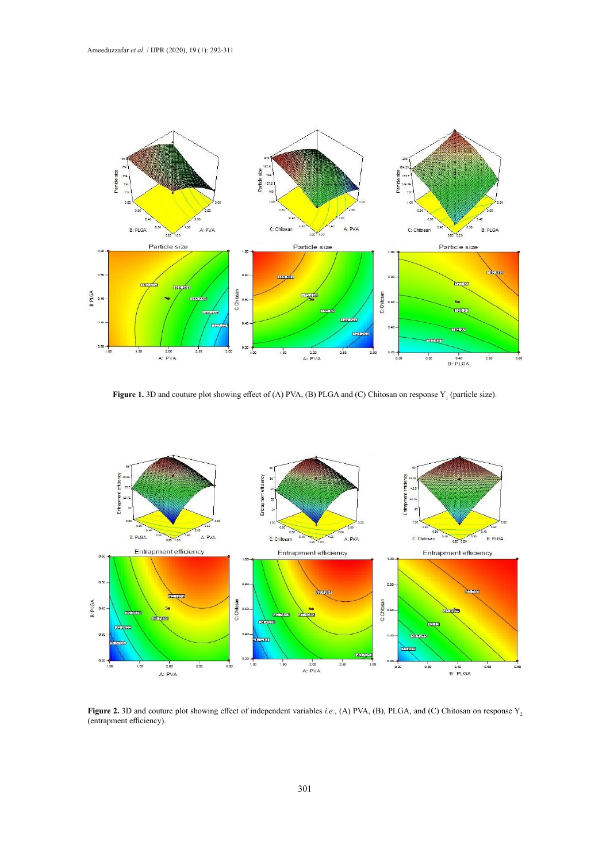

Figure 1. 3D and couture plot showing effect of (A) PVA, (B) PLGA and (C) Chitosan on response  $Y_1$  (particle size).



(entrapment efficiency). **Figure 2.** 3D and couture plot showing effect of independent variables *i.e.*, (A) PVA, (B), PLGA, and (C) Chitosan on response  $Y_2$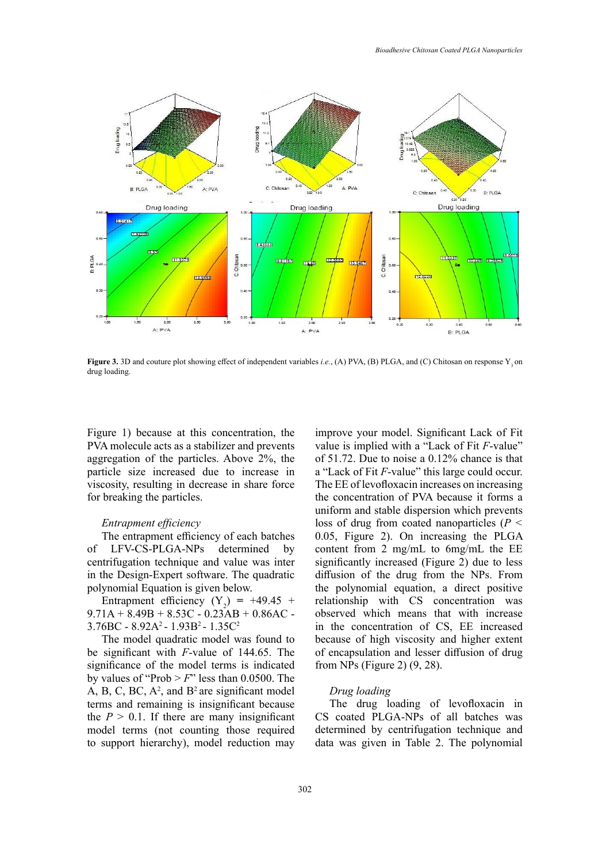

Figure 3. 3D and couture plot showing effect of independent variables *i.e.*, (A) PVA, (B) PLGA, and (C) Chitosan on response  $Y_3$  on drug loading.

Figure 1) because at this concentration, the PVA molecule acts as a stabilizer and prevents aggregation of the particles. Above 2%, the particle size increased due to increase in viscosity, resulting in decrease in share force for breaking the particles.

## *Entrapment efficiency*

The entrapment efficiency of each batches of LFV-CS-PLGA-NPs determined by centrifugation technique and value was inter in the Design-Expert software. The quadratic polynomial Equation is given below.

Entrapment efficiency  $(Y_2) = +49.45 +$  $9.71A + 8.49B + 8.53C - 0.23AB + 0.86AC$ 3.76BC - 8.92A2 - 1.93B2 - 1.35C2

The model quadratic model was found to be significant with *F*-value of 144.65. The significance of the model terms is indicated by values of "Prob  $> F$ " less than 0.0500. The A, B, C, BC,  $A^2$ , and  $B^2$  are significant model terms and remaining is insignificant because the  $P > 0.1$ . If there are many insignificant model terms (not counting those required to support hierarchy), model reduction may

improve your model. Significant Lack of Fit value is implied with a "Lack of Fit *F*-value" of 51.72. Due to noise a 0.12% chance is that a "Lack of Fit *F*-value" this large could occur. The EE of levofloxacin increases on increasing the concentration of PVA because it forms a uniform and stable dispersion which prevents loss of drug from coated nanoparticles (*P <*  0.05, Figure 2). On increasing the PLGA content from 2 mg/mL to 6mg/mL the EE significantly increased (Figure 2) due to less diffusion of the drug from the NPs. From the polynomial equation, a direct positive relationship with CS concentration was observed which means that with increase in the concentration of CS, EE increased because of high viscosity and higher extent of encapsulation and lesser diffusion of drug from NPs (Figure 2) (9, 28).

#### *Drug loading*

The drug loading of levofloxacin in CS coated PLGA-NPs of all batches was determined by centrifugation technique and data was given in Table 2. The polynomial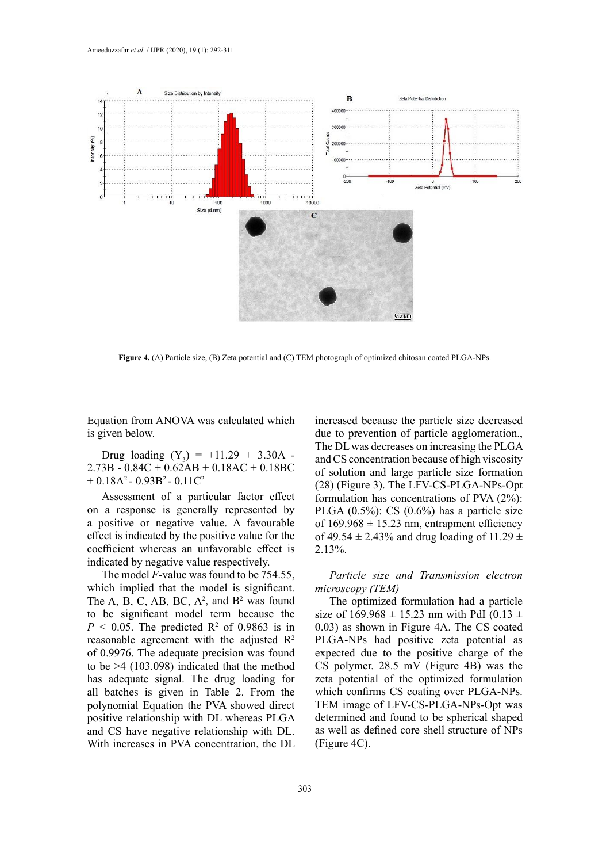

**Figure 4.** (A) Particle size, (B) Zeta potential and (C) TEM photograph of optimized chitosan coated PLGA-NPs.

Equation from ANOVA was calculated which is given below.

Drug loading  $(Y_3) = +11.29 + 3.30A 2.73B - 0.84C + 0.62AB + 0.18AC + 0.18BC$  $+ 0.18A^2 - 0.93B^2 - 0.11C^2$ 

Assessment of a particular factor effect on a response is generally represented by a positive or negative value. A favourable effect is indicated by the positive value for the coefficient whereas an unfavorable effect is indicated by negative value respectively.

The model *F*-value was found to be 754.55, which implied that the model is significant. The A, B, C, AB, BC,  $A^2$ , and  $B^2$  was found to be significant model term because the  $P < 0.05$ . The predicted R<sup>2</sup> of 0.9863 is in reasonable agreement with the adjusted  $\mathbb{R}^2$ of 0.9976. The adequate precision was found to be >4 (103.098) indicated that the method has adequate signal. The drug loading for all batches is given in Table 2. From the polynomial Equation the PVA showed direct positive relationship with DL whereas PLGA and CS have negative relationship with DL. With increases in PVA concentration, the DL

increased because the particle size decreased due to prevention of particle agglomeration., The DL was decreases on increasing the PLGA and CS concentration because of high viscosity of solution and large particle size formation (28) (Figure 3). The LFV-CS-PLGA-NPs-Opt formulation has concentrations of PVA (2%): PLGA  $(0.5\%)$ : CS  $(0.6\%)$  has a particle size of  $169.968 \pm 15.23$  nm, entrapment efficiency of 49.54  $\pm$  2.43% and drug loading of 11.29  $\pm$ 2.13%.

*Particle size and Transmission electron microscopy (TEM)*

The optimized formulation had a particle size of  $169.968 \pm 15.23$  nm with PdI (0.13  $\pm$ 0.03) as shown in Figure 4A. The CS coated PLGA-NPs had positive zeta potential as expected due to the positive charge of the CS polymer. 28.5 mV (Figure 4B) was the zeta potential of the optimized formulation which confirms CS coating over PLGA-NPs. TEM image of LFV-CS-PLGA-NPs-Opt was determined and found to be spherical shaped as well as defined core shell structure of NPs (Figure 4C).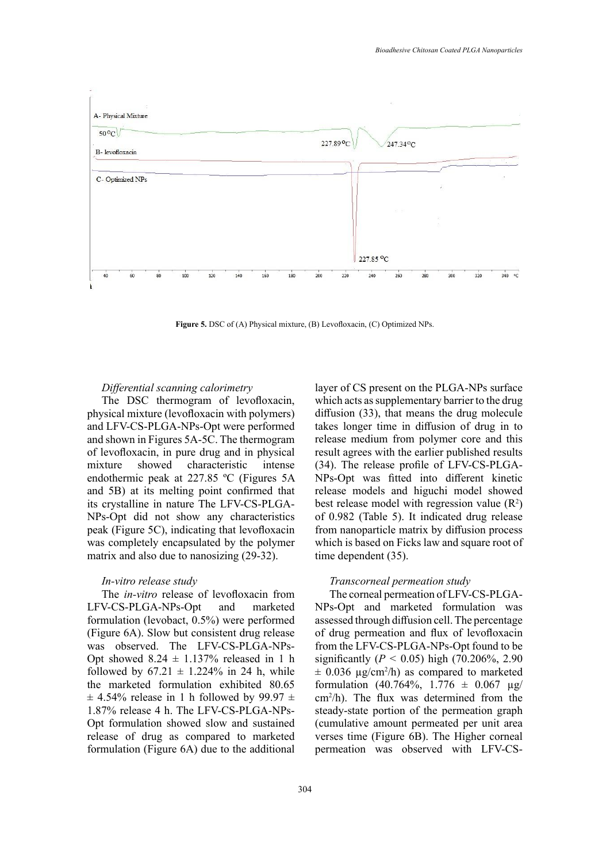

**Figure 5.** DSC of (A) Physical mixture, (B) Levofloxacin, (C) Optimized NPs.

#### *Differential scanning calorimetry*

The DSC thermogram of levofloxacin, physical mixture (levofloxacin with polymers) and LFV-CS-PLGA-NPs-Opt were performed and shown in Figures 5A-5C. The thermogram of levofloxacin, in pure drug and in physical mixture showed characteristic intense endothermic peak at 227.85 ºC (Figures 5A and 5B) at its melting point confirmed that its crystalline in nature The LFV-CS-PLGA-NPs-Opt did not show any characteristics peak (Figure 5C), indicating that levofloxacin was completely encapsulated by the polymer matrix and also due to nanosizing (29-32).

## *In-vitro release study*

The *in-vitro* release of levofloxacin from LFV-CS-PLGA-NPs-Opt and marketed formulation (levobact, 0.5%) were performed (Figure 6A). Slow but consistent drug release was observed. The LFV-CS-PLGA-NPs-Opt showed  $8.24 \pm 1.137\%$  released in 1 h followed by  $67.21 \pm 1.224\%$  in 24 h, while the marketed formulation exhibited 80.65  $\pm$  4.54% release in 1 h followed by 99.97  $\pm$ 1.87% release 4 h. The LFV-CS-PLGA-NPs-Opt formulation showed slow and sustained release of drug as compared to marketed formulation (Figure 6A) due to the additional

layer of CS present on the PLGA-NPs surface which acts as supplementary barrier to the drug diffusion (33), that means the drug molecule takes longer time in diffusion of drug in to release medium from polymer core and this result agrees with the earlier published results (34). The release profile of LFV-CS-PLGA-NPs-Opt was fitted into different kinetic release models and higuchi model showed best release model with regression value  $(R^2)$ of 0.982 (Table 5). It indicated drug release from nanoparticle matrix by diffusion process which is based on Ficks law and square root of time dependent (35).

#### *Transcorneal permeation study*

The corneal permeation of LFV-CS-PLGA-NPs-Opt and marketed formulation was assessed through diffusion cell. The percentage of drug permeation and flux of levofloxacin from the LFV-CS-PLGA-NPs-Opt found to be significantly (*P <* 0.05) high (70.206%, 2.90  $\pm$  0.036  $\mu$ g/cm<sup>2</sup>/h) as compared to marketed formulation (40.764%, 1.776  $\pm$  0.067 µg/ cm2 /h). The flux was determined from the steady-state portion of the permeation graph (cumulative amount permeated per unit area verses time (Figure 6B). The Higher corneal permeation was observed with LFV-CS-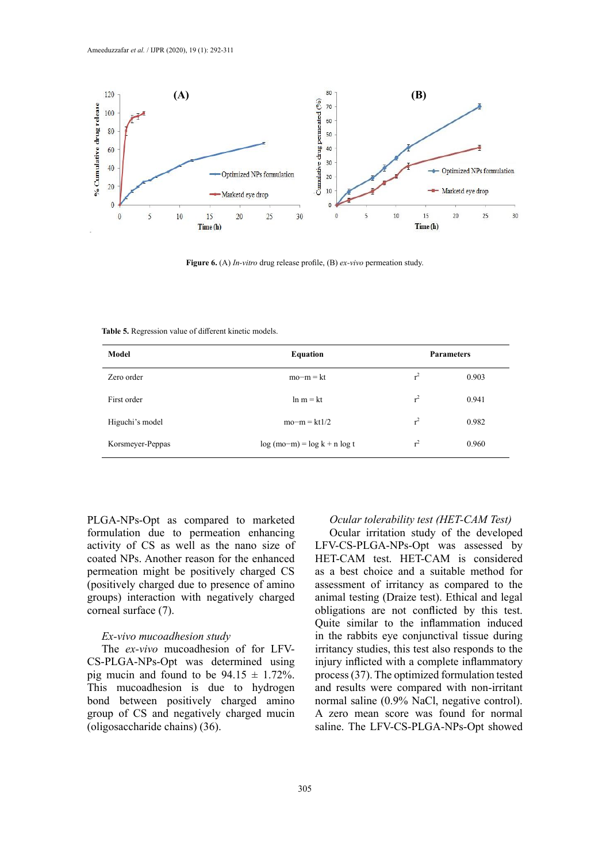

**Figure 6.** (A) *In-vitro* drug release profile, (B) *ex-vivo* permeation study. **Figure 6.** (A) *In-vitro* drug release profile, (B) *ex-vivo* permeation study.

**Table 5.** Regression value of different kinetic models. **Table 5.** Regression value of different kinetic models.

| Model            | <b>Equation</b>                |                | <b>Parameters</b> |
|------------------|--------------------------------|----------------|-------------------|
| Zero order       | $mo-m = kt$                    | $r^2$          | 0.903             |
| First order      | $\ln m = kt$                   | $r^2$          | 0.941             |
| Higuchi's model  | $mo-m = kt1/2$                 | r <sup>2</sup> | 0.982             |
| Korsmeyer-Peppas | $log (mo-m) = log k + n log t$ | $r^2$          | 0.960             |

PLGA-NPs-Opt as compared to marketed formulation due to permeation enhancing activity of CS as well as the nano size of coated NPs. Another reason for the enhanced permeation might be positively charged CS (positively charged due to presence of amino groups) interaction with negatively charged corneal surface (7).

#### *Ex-vivo mucoadhesion study*

The *ex-vivo* mucoadhesion of for LFV-CS-PLGA-NPs-Opt was determined using pig mucin and found to be  $94.15 \pm 1.72\%$ . This mucoadhesion is due to hydrogen bond between positively charged amino group of CS and negatively charged mucin (oligosaccharide chains) (36).

## *Ocular tolerability test (HET-CAM Test)*

Ocular irritation study of the developed LFV-CS-PLGA-NPs-Opt was assessed by HET-CAM test. HET-CAM is considered as a best choice and a suitable method for assessment of irritancy as compared to the animal testing (Draize test). Ethical and legal obligations are not conflicted by this test. Quite similar to the inflammation induced in the rabbits eye conjunctival tissue during irritancy studies, this test also responds to the injury inflicted with a complete inflammatory process (37). The optimized formulation tested and results were compared with non-irritant normal saline (0.9% NaCl, negative control). A zero mean score was found for normal saline. The LFV-CS-PLGA-NPs-Opt showed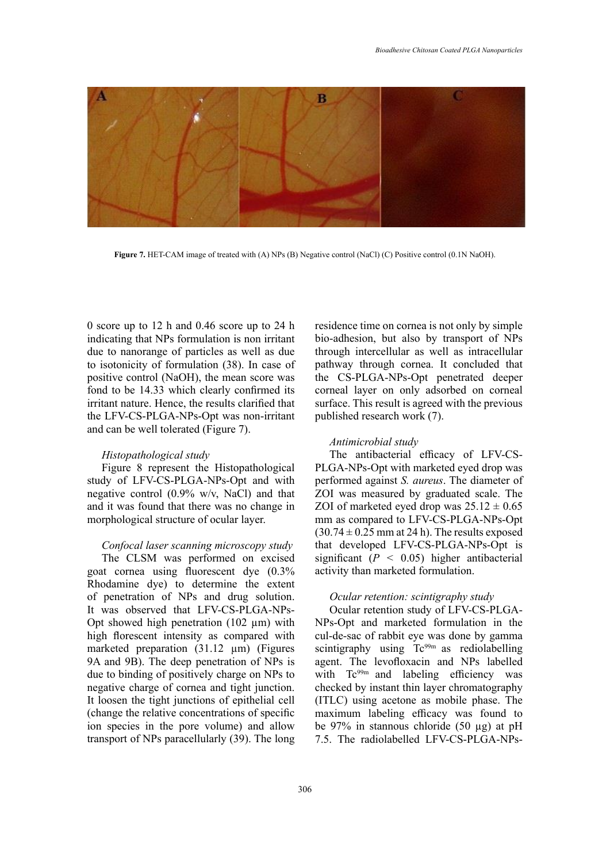

**Figure 7.** HET-CAM image of treated with (A) NPs (B) Negative control (NaCl) (C) Positive **Figure 7.** HET-CAM image of treated with (A) NPs (B) Negative control (NaCl) (C) Positive control (0.1N NaOH).

0 score up to 12 h and 0.46 score up to 24 h indicating that NPs formulation is non irritant due to nanorange of particles as well as due to isotonicity of formulation (38). In case of positive control (NaOH), the mean score was fond to be 14.33 which clearly confirmed its irritant nature. Hence, the results clarified that the LFV-CS-PLGA-NPs-Opt was non-irritant and can be well tolerated (Figure 7).

#### *Histopathological study*

Figure 8 represent the Histopathological study of LFV-CS-PLGA-NPs-Opt and with negative control (0.9% w/v, NaCl) and that and it was found that there was no change in morphological structure of ocular layer.

#### *Confocal laser scanning microscopy study*

The CLSM was performed on excised goat cornea using fluorescent dye (0.3% Rhodamine dye) to determine the extent of penetration of NPs and drug solution. It was observed that LFV-CS-PLGA-NPs-Opt showed high penetration  $(102 \mu m)$  with high florescent intensity as compared with marketed preparation (31.12 µm) (Figures 9A and 9B). The deep penetration of NPs is due to binding of positively charge on NPs to negative charge of cornea and tight junction. It loosen the tight junctions of epithelial cell (change the relative concentrations of specific ion species in the pore volume) and allow transport of NPs paracellularly (39). The long residence time on cornea is not only by simple bio-adhesion, but also by transport of NPs through intercellular as well as intracellular pathway through cornea. It concluded that the CS-PLGA-NPs-Opt penetrated deeper corneal layer on only adsorbed on corneal surface. This result is agreed with the previous published research work (7).

#### *Antimicrobial study*

The antibacterial efficacy of LFV-CS-PLGA-NPs-Opt with marketed eyed drop was performed against *S. aureus*. The diameter of ZOI was measured by graduated scale. The ZOI of marketed eyed drop was  $25.12 \pm 0.65$ mm as compared to LFV-CS-PLGA-NPs-Opt  $(30.74 \pm 0.25 \text{ mm}$  at 24 h). The results exposed that developed LFV-CS-PLGA-NPs-Opt is significant  $(P < 0.05)$  higher antibacterial activity than marketed formulation.

#### *Ocular retention: scintigraphy study*

Ocular retention study of LFV-CS-PLGA-NPs-Opt and marketed formulation in the cul-de-sac of rabbit eye was done by gamma scintigraphy using Tc<sup>99m</sup> as rediolabelling agent. The levofloxacin and NPs labelled with Tc<sup>99m</sup> and labeling efficiency was checked by instant thin layer chromatography (ITLC) using acetone as mobile phase. The maximum labeling efficacy was found to be 97% in stannous chloride (50  $\mu$ g) at pH 7.5. The radiolabelled LFV-CS-PLGA-NPs-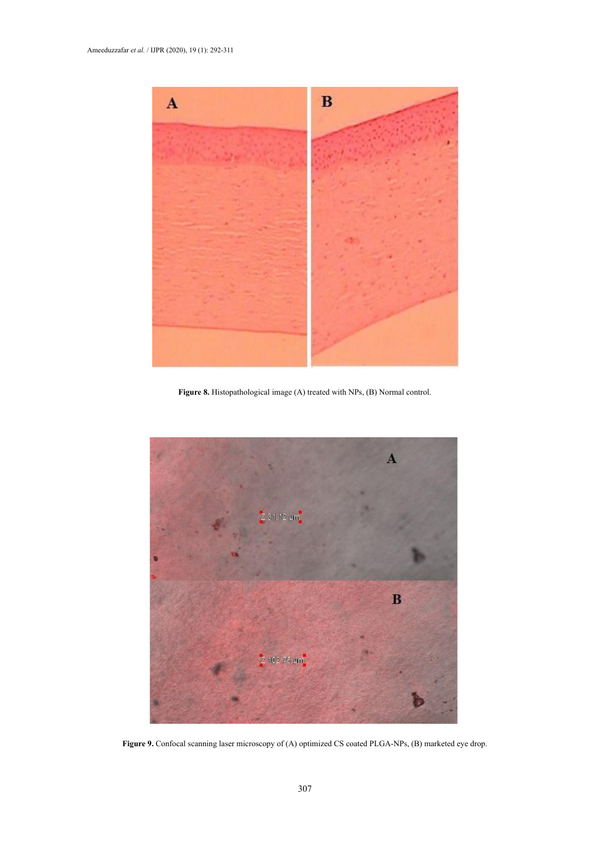

**Figure 8.** Histopathological image (A) treated with NPs, (B) Normal control. **Figure 8.** Histopathological image (A) treated with NPs, (B) Normal control.



**Figure 9.** Confocal scanning laser microscopy of (A) optimized CS coated PLGA-NPs, (B) **Figure 9.** Confocal scanning laser microscopy of (A) optimized CS coated PLGA-NPs, (B) marketed eye drop.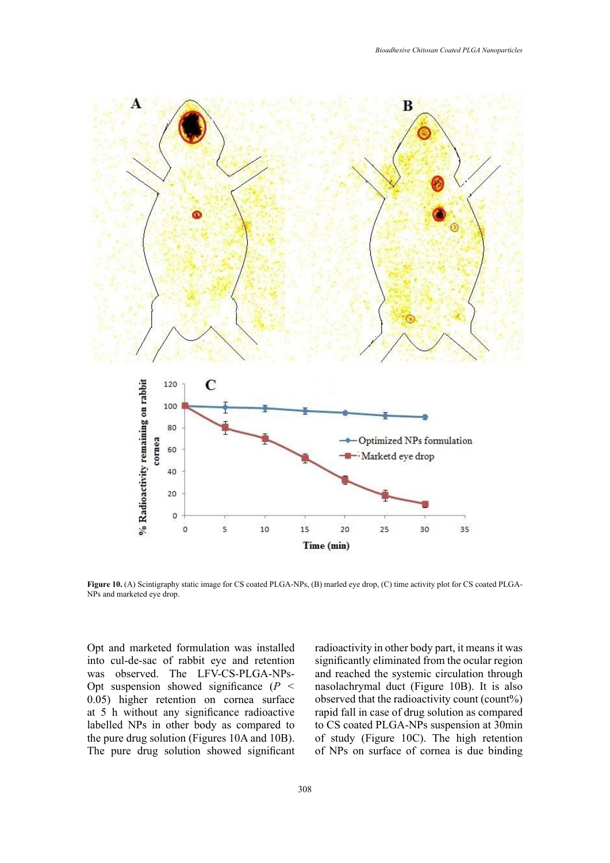

and marketed eye drop. **Figure 10.** (A) Scintigraphy static image for CS coated PLGA-NPs, (B) marled eye drop, (C) time activity plot for CS coated PLGA-NPs and marketed eye drop.

Opt and marketed formulation was installed into cul-de-sac of rabbit eye and retention was observed. The LFV-CS-PLGA-NPs-Opt suspension showed significance (*P <*  0.05) higher retention on cornea surface at 5 h without any significance radioactive labelled NPs in other body as compared to the pure drug solution (Figures 10A and 10B). The pure drug solution showed significant

radioactivity in other body part, it means it was significantly eliminated from the ocular region and reached the systemic circulation through nasolachrymal duct (Figure 10B). It is also observed that the radioactivity count (count%) rapid fall in case of drug solution as compared to CS coated PLGA-NPs suspension at 30min of study (Figure 10C). The high retention of NPs on surface of cornea is due binding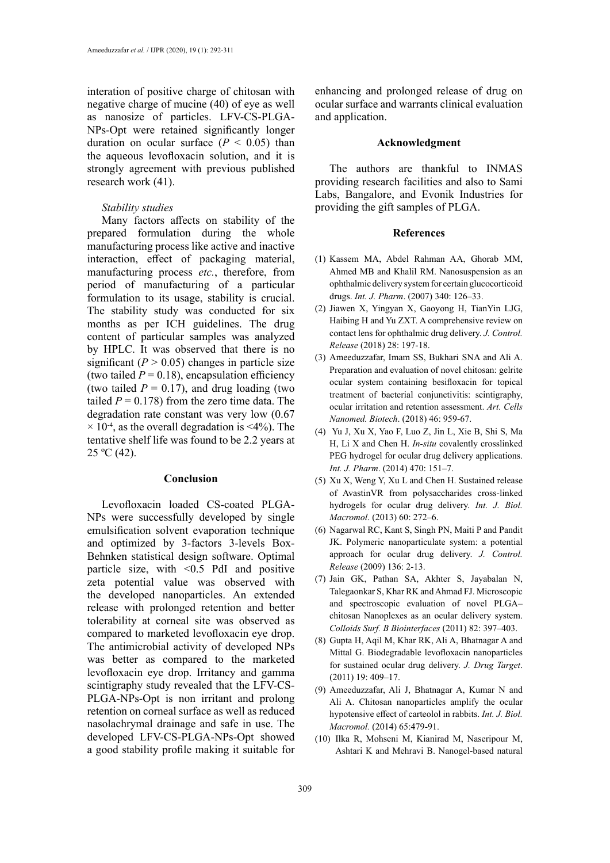interation of positive charge of chitosan with negative charge of mucine (40) of eye as well as nanosize of particles. LFV-CS-PLGA-NPs-Opt were retained significantly longer duration on ocular surface  $(P < 0.05)$  than the aqueous levofloxacin solution, and it is strongly agreement with previous published research work (41).

## *Stability studies*

Many factors affects on stability of the prepared formulation during the whole manufacturing process like active and inactive interaction, effect of packaging material, manufacturing process *etc.*, therefore, from period of manufacturing of a particular formulation to its usage, stability is crucial. The stability study was conducted for six months as per ICH guidelines. The drug content of particular samples was analyzed by HPLC. It was observed that there is no significant  $(P > 0.05)$  changes in particle size (two tailed  $P = 0.18$ ), encapsulation efficiency (two tailed  $P = 0.17$ ), and drug loading (two tailed  $P = 0.178$ ) from the zero time data. The degradation rate constant was very low (0.67  $\times$  10<sup>-4</sup>, as the overall degradation is <4%). The tentative shelf life was found to be 2.2 years at  $25 °C (42)$ .

#### **Conclusion**

Levofloxacin loaded CS-coated PLGA-NPs were successfully developed by single emulsification solvent evaporation technique and optimized by 3-factors 3-levels Box-Behnken statistical design software. Optimal particle size, with <0.5 PdI and positive zeta potential value was observed with the developed nanoparticles. An extended release with prolonged retention and better tolerability at corneal site was observed as compared to marketed levofloxacin eye drop. The antimicrobial activity of developed NPs was better as compared to the marketed levofloxacin eye drop. Irritancy and gamma scintigraphy study revealed that the LFV-CS-PLGA-NPs-Opt is non irritant and prolong retention on corneal surface as well as reduced nasolachrymal drainage and safe in use. The developed LFV-CS-PLGA-NPs-Opt showed a good stability profile making it suitable for

enhancing and prolonged release of drug on ocular surface and warrants clinical evaluation and application.

#### **Acknowledgment**

The authors are thankful to INMAS providing research facilities and also to Sami Labs, Bangalore, and Evonik Industries for providing the gift samples of PLGA.

## **References**

- (1) Kassem MA, Abdel Rahman AA, Ghorab MM, Ahmed MB and Khalil RM. Nanosuspension as an ophthalmic delivery system for certain glucocorticoid drugs. *Int. J. Pharm*. (2007) 340: 126–33.
- (2) [Jiawen X,](https://www.sciencedirect.com/science/article/pii/S0168365918302852) Yingyan X, [Gaoyong H,](https://www.sciencedirect.com/science/article/pii/S0168365918302852) TianYin LJG, Haibing H and Yu ZXT. A comprehensive review on contact lens for ophthalmic drug delivery. *[J. Control.](https://www.sciencedirect.com/science/journal/01683659) [Release](https://www.sciencedirect.com/science/journal/01683659)* [\(2018\) 28: 1](https://www.sciencedirect.com/science/journal/01683659/281/supp/C)97-18.
- (3) Ameeduzzafar, Imam SS, Bukhari SNA and Ali A. Preparation and evaluation of novel chitosan: gelrite ocular system containing besifloxacin for topical treatment of bacterial conjunctivitis: scintigraphy, ocular irritation and retention assessment. *Art. Cells Nanomed. Biotech*. (2018) 46: 959-67.
- (4) Yu J, Xu X, Yao F, Luo Z, Jin L, Xie B, Shi S, Ma H, Li X and Chen H. *In-situ* covalently crosslinked PEG hydrogel for ocular drug delivery applications. *Int. J. Pharm*. (2014) 470: 151–7.
- (5) Xu X, Weng Y, Xu L and Chen H. Sustained release of AvastinVR from polysaccharides cross-linked hydrogels for ocular drug delivery. *Int. J. Biol. Macromol*. (2013) 60: 272–6.
- (6) Nagarwal RC, Kant S, Singh PN, Maiti P and Pandit JK. Polymeric nanoparticulate system: a potential approach for ocular drug delivery. *J. Control. Release* (2009) 136: 2-13.
- (7) Jain GK, Pathan SA, Akhter S, Jayabalan N, Talegaonkar S, Khar RK and Ahmad FJ. Microscopic and spectroscopic evaluation of novel PLGA– chitosan Nanoplexes as an ocular delivery system. *Colloids Surf. B Biointerfaces* (2011) 82: 397–403.
- (8) Gupta H, Aqil M, Khar RK, Ali A, Bhatnagar A and Mittal G. Biodegradable levofloxacin nanoparticles for sustained ocular drug delivery. *J. Drug Target*. (2011) 19: 409–17.
- (9) [Ameeduzzafar,](https://www.ncbi.nlm.nih.gov/pubmed/?term=Ameeduzzafar%5BAuthor%5D&cauthor=true&cauthor_uid=24530326) [Ali](https://www.ncbi.nlm.nih.gov/pubmed/?term=Ali%20J%5BAuthor%5D&cauthor=true&cauthor_uid=24530326) J, [Bhatnagar](https://www.ncbi.nlm.nih.gov/pubmed/?term=Bhatnagar%20A%5BAuthor%5D&cauthor=true&cauthor_uid=24530326) A, [Kumar N](https://www.ncbi.nlm.nih.gov/pubmed/?term=Kumar%20N%5BAuthor%5D&cauthor=true&cauthor_uid=24530326) and [Ali](https://www.ncbi.nlm.nih.gov/pubmed/?term=Ali%20A%5BAuthor%5D&cauthor=true&cauthor_uid=24530326) A. Chitosan nanoparticles amplify the ocular hypotensive effect of carteolol in rabbits. *[Int. J. Biol.](https://www.ncbi.nlm.nih.gov/pubmed/24530326) [Macromol.](https://www.ncbi.nlm.nih.gov/pubmed/24530326)* (2014) 65:479-91.
- (10) Ilka R, Mohseni M, Kianirad M, Naseripour M, Ashtari K and Mehravi B. Nanogel-based natural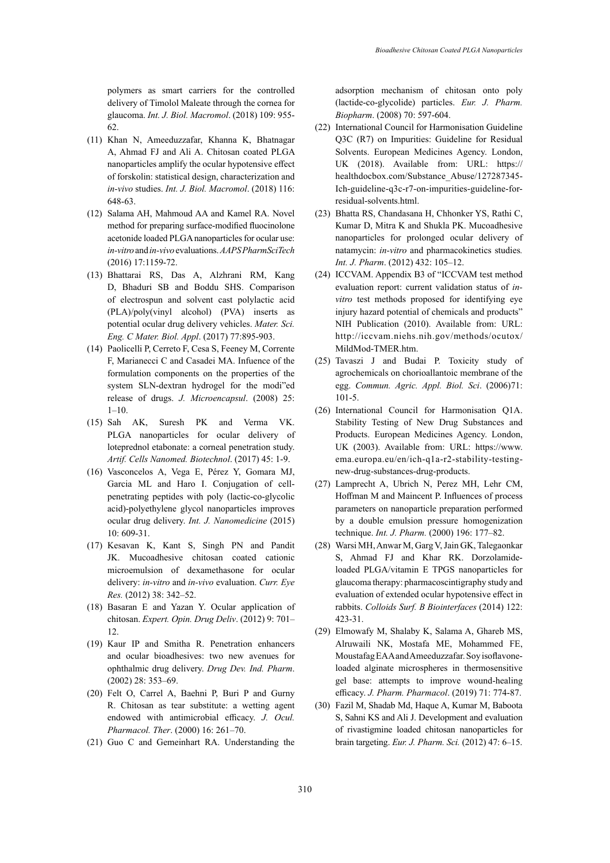polymers as smart carriers for the controlled delivery of Timolol Maleate through the cornea for glaucoma. *Int. J. Biol. Macromol*. (2018) 109: 955- 62.

- (11) Khan N, Ameeduzzafar, Khanna K, Bhatnagar A, Ahmad FJ and Ali A. Chitosan coated PLGA nanoparticles amplify the ocular hypotensive effect of forskolin: statistical design, characterization and *[in-vivo](https://www.ncbi.nlm.nih.gov/pubmed/29723623)* studies. *Int. J. Biol. Macromol*. (2018) 116: 648-63.
- (12) [Salama](https://www.ncbi.nlm.nih.gov/pubmed/?term=Salama%20AH%5BAuthor%5D&cauthor=true&cauthor_uid=26589410) AH, [Mahmoud A](https://www.ncbi.nlm.nih.gov/pubmed/?term=Mahmoud%20AA%5BAuthor%5D&cauthor=true&cauthor_uid=26589410)A and [Kamel](https://www.ncbi.nlm.nih.gov/pubmed/?term=Kamel%20R%5BAuthor%5D&cauthor=true&cauthor_uid=26589410) RA. Novel method for preparing surface-modified fluocinolone acetonide loaded PLGA nanoparticles for ocular use: *in-vitro* and *in-vivo* evaluations. *[AAPS PharmSciTech](https://www.ncbi.nlm.nih.gov/pubmed/26589410)* (2016) 17:1159-72.
- (13) [Bhattarai R](https://www.ncbi.nlm.nih.gov/pubmed/?term=Bhattarai%20RS%5BAuthor%5D&cauthor=true&cauthor_uid=28532107)S, [Das](https://www.ncbi.nlm.nih.gov/pubmed/?term=Das%20A%5BAuthor%5D&cauthor=true&cauthor_uid=28532107) A, [Alzhrani](https://www.ncbi.nlm.nih.gov/pubmed/?term=Alzhrani%20RM%5BAuthor%5D&cauthor=true&cauthor_uid=28532107) RM, [Kang](https://www.ncbi.nlm.nih.gov/pubmed/?term=Kang%20D%5BAuthor%5D&cauthor=true&cauthor_uid=28532107)  D, [Bhaduri](https://www.ncbi.nlm.nih.gov/pubmed/?term=Bhaduri%20SB%5BAuthor%5D&cauthor=true&cauthor_uid=28532107) SB and [Boddu SHS. C](https://www.ncbi.nlm.nih.gov/pubmed/?term=Boddu%20SHS%5BAuthor%5D&cauthor=true&cauthor_uid=28532107)omparison of electrospun and solvent cast polylactic acid (PLA)/poly(vinyl alcohol) (PVA) inserts as potential ocular drug delivery vehicles. *Mater. Sci. Eng. C Mater. Biol. Appl*. (2017) 77:895-903.
- (14) Paolicelli P, Cerreto F, Cesa S, Feeney M, Corrente F, Marianecci C and Casadei MA. Infuence of the formulation components on the properties of the system SLN-dextran hydrogel for the modi"ed release of drugs. *J. Microencapsul*. (2008) 25: 1–10.
- (15) [Sah](https://www.ncbi.nlm.nih.gov/pubmed/?term=Sah%20AK%5BAuthor%5D&cauthor=true&cauthor_uid=27389068) AK, [Suresh](https://www.ncbi.nlm.nih.gov/pubmed/?term=Suresh%20PK%5BAuthor%5D&cauthor=true&cauthor_uid=27389068) PK and [Verma VK.](https://www.ncbi.nlm.nih.gov/pubmed/?term=Verma%20VK%5BAuthor%5D&cauthor=true&cauthor_uid=27389068)  PLGA nanoparticles for ocular delivery of loteprednol etabonate: a corneal penetration study. *[Artif. Cells Nanomed. Biotechnol](https://www.ncbi.nlm.nih.gov/pubmed/27389068)*. (2017) 45: 1-9.
- (16) Vasconcelos A, Vega E, Pérez Y, Gomara MJ, Garcia ML and Haro I. Conjugation of cellpenetrating peptides with poly (lactic-co-glycolic acid)-polyethylene glycol nanoparticles improves ocular drug delivery. *Int. J. Nanomedicine* (2015) 10: 609-31.
- (17) Kesavan K, Kant S, Singh PN and Pandit JK. Mucoadhesive chitosan coated cationic microemulsion of dexamethasone for ocular delivery: *in-vitro* and *in-vivo* evaluation. *Curr. Eye Res.* (2012) 38: 342–52.
- (18) Basaran E and Yazan Y. Ocular application of chitosan. *Expert. Opin. Drug Deliv*. (2012) 9: 701– 12.
- (19) Kaur IP and Smitha R. Penetration enhancers and ocular bioadhesives: two new avenues for ophthalmic drug delivery. *Drug Dev. Ind. Pharm*. (2002) 28: 353–69.
- (20) Felt O, Carrel A, Baehni P, Buri P and Gurny R. Chitosan as tear substitute: a wetting agent endowed with antimicrobial efficacy. *J. Ocul. Pharmacol. Ther*. (2000) 16: 261–70.
- (21) [Guo](https://www.ncbi.nlm.nih.gov/pubmed/?term=Guo%20C%5BAuthor%5D&cauthor=true&cauthor_uid=18602994) C and [Gemeinhart](https://www.ncbi.nlm.nih.gov/pubmed/?term=Gemeinhart%20RA%5BAuthor%5D&cauthor=true&cauthor_uid=18602994) RA. Understanding the

adsorption mechanism of chitosan onto poly (lactide-co-glycolide) particles. *[Eur. J. Pharm.](https://www.ncbi.nlm.nih.gov/pubmed/?term=Guo+and+Gemeinhart+2008) [Biopharm](https://www.ncbi.nlm.nih.gov/pubmed/?term=Guo+and+Gemeinhart+2008)*. (2008) 70: 597-604.

- (22) International Council for Harmonisation Guideline Q3C (R7) on Impurities: Guideline for Residual Solvents. European Medicines Agency. London, UK (2018). Available from: URL: https:// healthdocbox.com/Substance\_Abuse/127287345- Ich-guideline-q3c-r7-on-impurities-guideline-forresidual-solvents.html.
- (23) Bhatta RS, Chandasana H, Chhonker YS, Rathi C, Kumar D, Mitra K and Shukla PK. Mucoadhesive nanoparticles for prolonged ocular delivery of natamycin: *in-vitro* and pharmacokinetics studies*. Int. J. Pharm*. (2012) 432: 105–12.
- (24) ICCVAM. Appendix B3 of "ICCVAM test method evaluation report: current validation status of *invitro* test methods proposed for identifying eye injury hazard potential of chemicals and products" NIH Publication (2010). Available from: URL: <http://iccvam.niehs.nih.gov/methods/ocutox/> MildMod-TMER.htm.
- (25) [Tavaszi](https://www.ncbi.nlm.nih.gov/pubmed/?term=Tavaszi%20J%5BAuthor%5D&cauthor=true&cauthor_uid=17390779) J and [Budai](https://www.ncbi.nlm.nih.gov/pubmed/?term=Budai%20P%5BAuthor%5D&cauthor=true&cauthor_uid=17390779) P. Toxicity study of agrochemicals on chorioallantoic membrane of the egg. *[Commun. Agric. Appl. Biol. Sci](https://www.ncbi.nlm.nih.gov/pubmed/?term=Tavaszi+and+Budai+2006)*. (2006)71: 101-5.
- (26) International Council for Harmonisation Q1A. Stability Testing of New Drug Substances and Products. European Medicines Agency. London, UK (2003). Available from: URL: https://www. ema.europa.eu/en/ich-q1a-r2-stability-testingnew-drug-substances-drug-products.
- (27) Lamprecht A, Ubrich N, Perez MH, Lehr CM, Hoffman M and Maincent P. Influences of process parameters on nanoparticle preparation performed by a double emulsion pressure homogenization technique. *Int. J. Pharm.* (2000) 196: 177–82.
- (28) [Warsi M](https://www.ncbi.nlm.nih.gov/pubmed/?term=Warsi%20MH%5BAuthor%5D&cauthor=true&cauthor_uid=25159319)H, [Anwar](https://www.ncbi.nlm.nih.gov/pubmed/?term=Anwar%20M%5BAuthor%5D&cauthor=true&cauthor_uid=25159319) M, [Garg](https://www.ncbi.nlm.nih.gov/pubmed/?term=Garg%20V%5BAuthor%5D&cauthor=true&cauthor_uid=25159319) V, [Jain](https://www.ncbi.nlm.nih.gov/pubmed/?term=Jain%20GK%5BAuthor%5D&cauthor=true&cauthor_uid=25159319) GK, [Talegaonkar](https://www.ncbi.nlm.nih.gov/pubmed/?term=Talegaonkar%20S%5BAuthor%5D&cauthor=true&cauthor_uid=25159319) S, [Ahmad](https://www.ncbi.nlm.nih.gov/pubmed/?term=Ahmad%20FJ%5BAuthor%5D&cauthor=true&cauthor_uid=25159319) FJ and [Khar](https://www.ncbi.nlm.nih.gov/pubmed/?term=Khar%20RK%5BAuthor%5D&cauthor=true&cauthor_uid=25159319) RK. Dorzolamideloaded PLGA/vitamin E TPGS nanoparticles for glaucoma therapy: pharmacoscintigraphy study and evaluation of extended ocular hypotensive effect in rabbits. *[Colloids Surf. B Biointerfaces](https://www.ncbi.nlm.nih.gov/pubmed/?term=dorzolamide+PLGA+nanoparticle)* (2014) 122: 423-31.
- (29) Elmowafy M, Shalaby K, Salama A, Ghareb MS, Alruwaili NK, Mostafa ME, Mohammed FE, Moustafag EAA and Ameeduzzafar. Soy isoflavoneloaded alginate microspheres in thermosensitive gel base: attempts to improve wound-healing efficacy. *[J. Pharm. Pharmacol](https://www.ncbi.nlm.nih.gov/pubmed/?term=Soy+isoflavone-loaded+alginate+microspheres+in+thermosensitive+gel+base%3A+attempts+to+improve+wound-healing+efficacy)*. (2019) 71: 774-87.
- (30) Fazil M, Shadab Md, Haque A, Kumar M, Baboota S, Sahni KS and Ali J. Development and evaluation of rivastigmine loaded chitosan nanoparticles for brain targeting. *Eur. J. Pharm. Sci.* (2012) 47: 6–15.